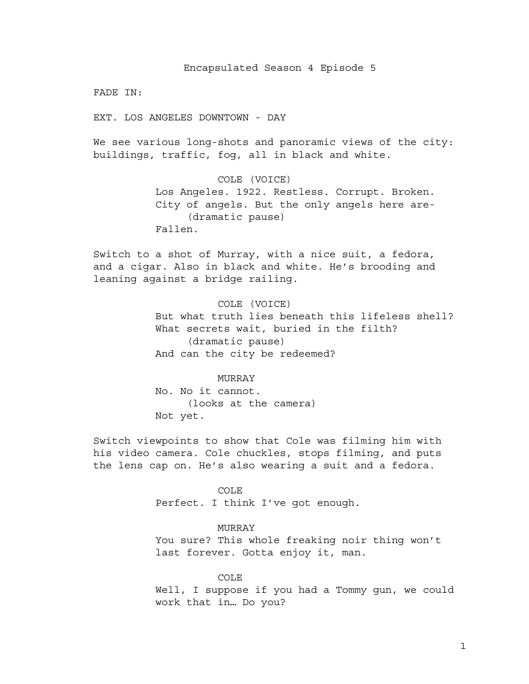Encapsulated Season 4 Episode 5

FADE IN:

EXT. LOS ANGELES DOWNTOWN - DAY

We see various long-shots and panoramic views of the city: buildings, traffic, fog, all in black and white.

> COLE (VOICE) Los Angeles. 1922. Restless. Corrupt. Broken. City of angels. But the only angels here are- (dramatic pause) Fallen.

Switch to a shot of Murray, with a nice suit, a fedora, and a cigar. Also in black and white. He's brooding and leaning against a bridge railing.

> COLE (VOICE) But what truth lies beneath this lifeless shell? What secrets wait, buried in the filth? (dramatic pause) And can the city be redeemed?

MURRAY No. No it cannot. (looks at the camera) Not yet.

Switch viewpoints to show that Cole was filming him with his video camera. Cole chuckles, stops filming, and puts the lens cap on. He's also wearing a suit and a fedora.

> COLE Perfect. I think I've got enough.

> > MURRAY

You sure? This whole freaking noir thing won't last forever. Gotta enjoy it, man.

COLE

Well, I suppose if you had a Tommy gun, we could work that in… Do you?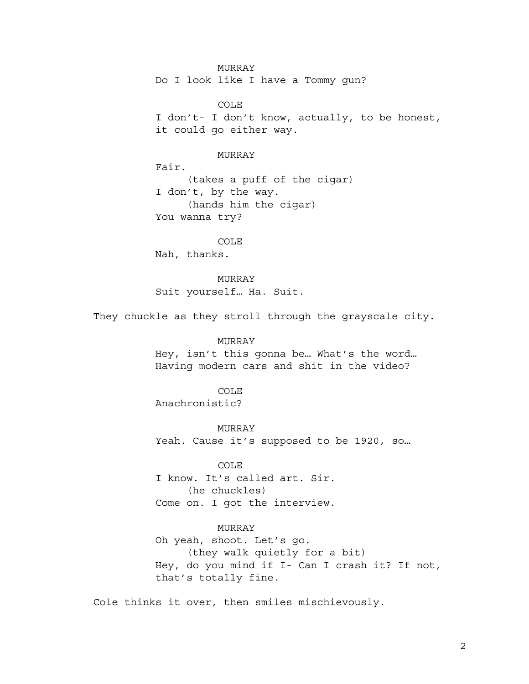MURRAY Do I look like I have a Tommy gun?

COLE I don't- I don't know, actually, to be honest, it could go either way.

MURRAY

Fair. (takes a puff of the cigar) I don't, by the way. (hands him the cigar) You wanna try?

COLE Nah, thanks.

MURRAY Suit yourself… Ha. Suit.

They chuckle as they stroll through the grayscale city.

MURRAY

Hey, isn't this gonna be… What's the word… Having modern cars and shit in the video?

COLE

Anachronistic?

MURRAY

Yeah. Cause it's supposed to be 1920, so…

COLE

I know. It's called art. Sir. (he chuckles) Come on. I got the interview.

MURRAY

Oh yeah, shoot. Let's go. (they walk quietly for a bit) Hey, do you mind if I- Can I crash it? If not, that's totally fine.

Cole thinks it over, then smiles mischievously.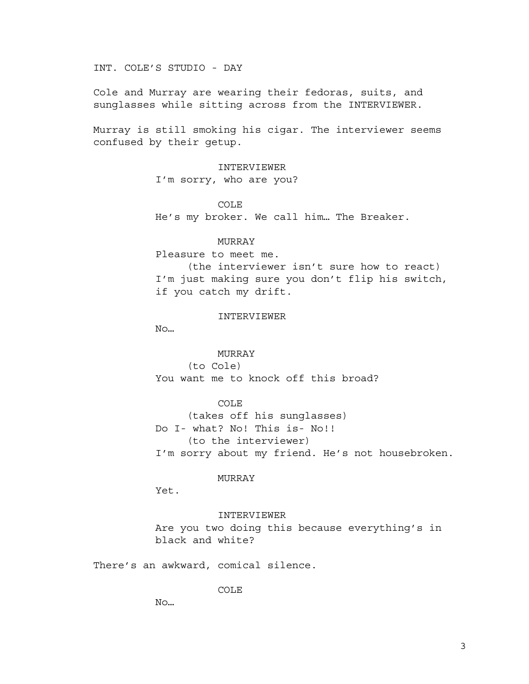INT. COLE'S STUDIO - DAY

Cole and Murray are wearing their fedoras, suits, and sunglasses while sitting across from the INTERVIEWER.

Murray is still smoking his cigar. The interviewer seems confused by their getup.

> INTERVIEWER I'm sorry, who are you?

COLE He's my broker. We call him… The Breaker.

### MURRAY

Pleasure to meet me. (the interviewer isn't sure how to react)

I'm just making sure you don't flip his switch, if you catch my drift.

### INTERVIEWER

No…

MURRAY (to Cole)

You want me to knock off this broad?

COLE

(takes off his sunglasses) Do I- what? No! This is- No!! (to the interviewer) I'm sorry about my friend. He's not housebroken.

### MURRAY

Yet.

### INTERVIEWER

Are you two doing this because everything's in black and white?

There's an awkward, comical silence.

COLE

No…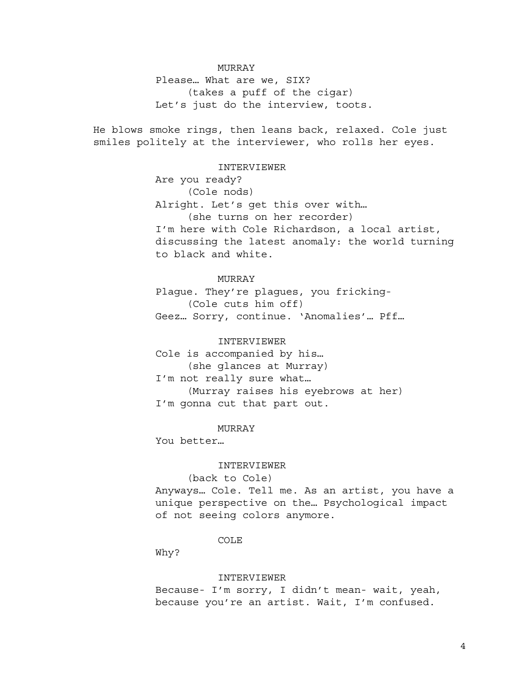## MURRAY

Please… What are we, SIX? (takes a puff of the cigar) Let's just do the interview, toots.

He blows smoke rings, then leans back, relaxed. Cole just smiles politely at the interviewer, who rolls her eyes.

### INTERVIEWER

Are you ready? (Cole nods) Alright. Let's get this over with… (she turns on her recorder) I'm here with Cole Richardson, a local artist, discussing the latest anomaly: the world turning to black and white.

### MURRAY

Plague. They're plagues, you fricking- (Cole cuts him off) Geez… Sorry, continue. 'Anomalies'… Pff…

## INTERVIEWER

Cole is accompanied by his… (she glances at Murray) I'm not really sure what… (Murray raises his eyebrows at her) I'm gonna cut that part out.

### MURRAY

You better…

### INTERVIEWER

(back to Cole)

Anyways… Cole. Tell me. As an artist, you have a unique perspective on the… Psychological impact of not seeing colors anymore.

### COLE

Why?

#### INTERVIEWER

Because- I'm sorry, I didn't mean- wait, yeah, because you're an artist. Wait, I'm confused.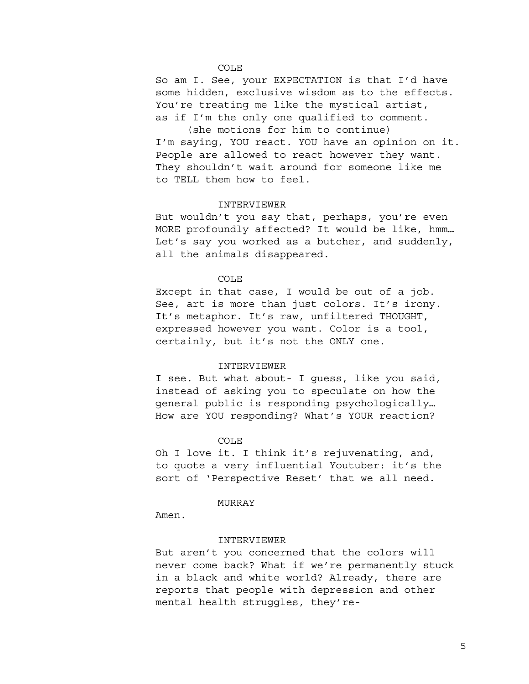## COLE

So am I. See, your EXPECTATION is that I'd have some hidden, exclusive wisdom as to the effects. You're treating me like the mystical artist, as if I'm the only one qualified to comment.

(she motions for him to continue) I'm saying, YOU react. YOU have an opinion on it. People are allowed to react however they want. They shouldn't wait around for someone like me to TELL them how to feel.

## INTERVIEWER

But wouldn't you say that, perhaps, you're even MORE profoundly affected? It would be like, hmm… Let's say you worked as a butcher, and suddenly, all the animals disappeared.

#### COLE

Except in that case, I would be out of a job. See, art is more than just colors. It's irony. It's metaphor. It's raw, unfiltered THOUGHT, expressed however you want. Color is a tool, certainly, but it's not the ONLY one.

## INTERVIEWER

I see. But what about- I guess, like you said, instead of asking you to speculate on how the general public is responding psychologically… How are YOU responding? What's YOUR reaction?

#### COLE

Oh I love it. I think it's rejuvenating, and, to quote a very influential Youtuber: it's the sort of 'Perspective Reset' that we all need.

#### MURRAY

Amen.

#### INTERVIEWER

But aren't you concerned that the colors will never come back? What if we're permanently stuck in a black and white world? Already, there are reports that people with depression and other mental health struggles, they're-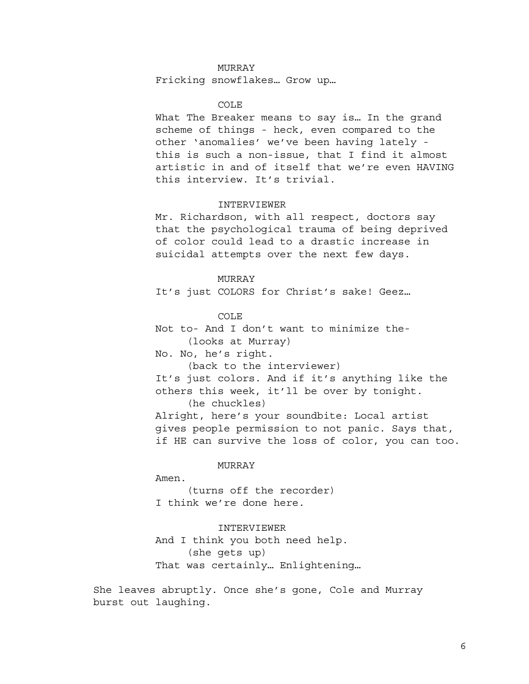## MURRAY

Fricking snowflakes… Grow up…

### COLE

What The Breaker means to say is… In the grand scheme of things - heck, even compared to the other 'anomalies' we've been having lately this is such a non-issue, that I find it almost artistic in and of itself that we're even HAVING this interview. It's trivial.

## INTERVIEWER

Mr. Richardson, with all respect, doctors say that the psychological trauma of being deprived of color could lead to a drastic increase in suicidal attempts over the next few days.

#### MURRAY

It's just COLORS for Christ's sake! Geez…

COLE

Not to- And I don't want to minimize the- (looks at Murray)

No. No, he's right.

(back to the interviewer)

It's just colors. And if it's anything like the others this week, it'll be over by tonight.

(he chuckles)

Alright, here's your soundbite: Local artist gives people permission to not panic. Says that, if HE can survive the loss of color, you can too.

MURRAY

Amen.

(turns off the recorder) I think we're done here.

## INTERVIEWER

And I think you both need help. (she gets up) That was certainly… Enlightening…

She leaves abruptly. Once she's gone, Cole and Murray burst out laughing.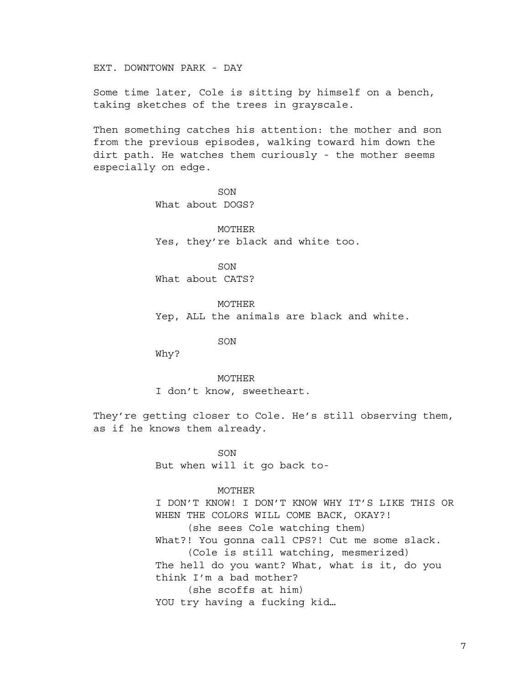EXT. DOWNTOWN PARK - DAY

Some time later, Cole is sitting by himself on a bench, taking sketches of the trees in grayscale.

Then something catches his attention: the mother and son from the previous episodes, walking toward him down the dirt path. He watches them curiously - the mother seems especially on edge.

> SON What about DOGS?

MOTHER Yes, they're black and white too.

SON What about CATS?

MOTHER Yep, ALL the animals are black and white.

SON

Why?

MOTHER I don't know, sweetheart.

They're getting closer to Cole. He's still observing them, as if he knows them already.

> **SON** But when will it go back to-

## MOTHER

I DON'T KNOW! I DON'T KNOW WHY IT'S LIKE THIS OR WHEN THE COLORS WILL COME BACK, OKAY?! (she sees Cole watching them) What?! You gonna call CPS?! Cut me some slack. (Cole is still watching, mesmerized) The hell do you want? What, what is it, do you think I'm a bad mother? (she scoffs at him) YOU try having a fucking kid…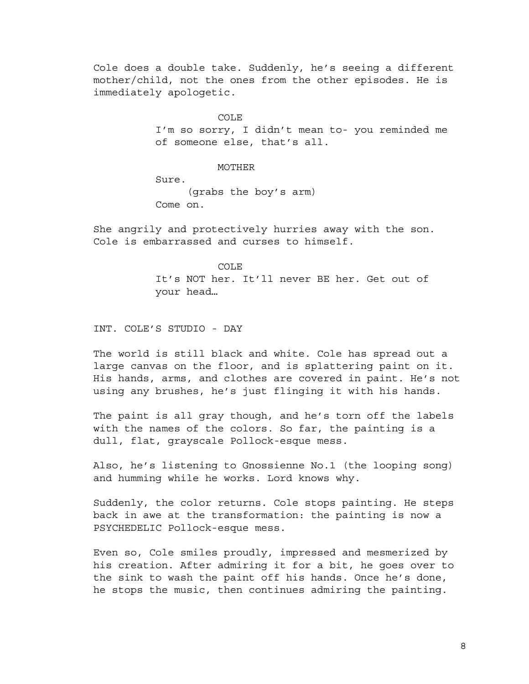Cole does a double take. Suddenly, he's seeing a different mother/child, not the ones from the other episodes. He is immediately apologetic.

COLE

I'm so sorry, I didn't mean to- you reminded me of someone else, that's all.

MOTHER

Sure. (grabs the boy's arm) Come on.

She angrily and protectively hurries away with the son. Cole is embarrassed and curses to himself.

> COLE It's NOT her. It'll never BE her. Get out of your head…

INT. COLE'S STUDIO - DAY

The world is still black and white. Cole has spread out a large canvas on the floor, and is splattering paint on it. His hands, arms, and clothes are covered in paint. He's not using any brushes, he's just flinging it with his hands.

The paint is all gray though, and he's torn off the labels with the names of the colors. So far, the painting is a dull, flat, grayscale Pollock-esque mess.

Also, he's listening to Gnossienne No.1 (the looping song) and humming while he works. Lord knows why.

Suddenly, the color returns. Cole stops painting. He steps back in awe at the transformation: the painting is now a PSYCHEDELIC Pollock-esque mess.

Even so, Cole smiles proudly, impressed and mesmerized by his creation. After admiring it for a bit, he goes over to the sink to wash the paint off his hands. Once he's done, he stops the music, then continues admiring the painting.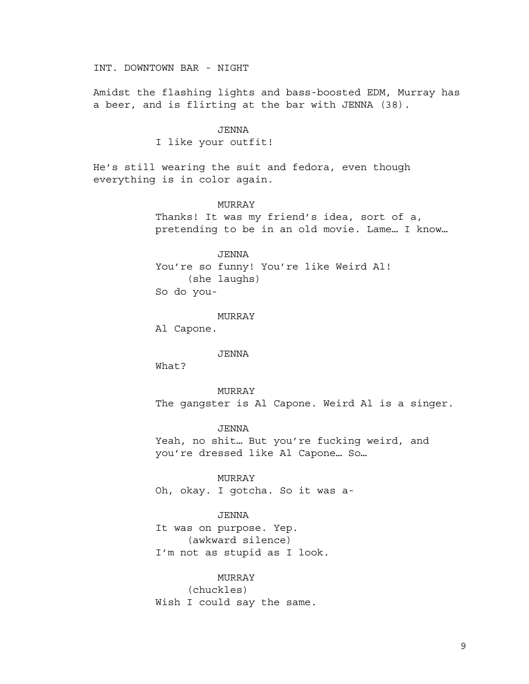INT. DOWNTOWN BAR - NIGHT

Amidst the flashing lights and bass-boosted EDM, Murray has a beer, and is flirting at the bar with JENNA (38).

#### JENNA

I like your outfit!

He's still wearing the suit and fedora, even though everything is in color again.

## MURRAY

Thanks! It was my friend's idea, sort of a, pretending to be in an old movie. Lame… I know…

JENNA

You're so funny! You're like Weird Al! (she laughs) So do you-

MURRAY

Al Capone.

JENNA

What?

MURRAY The gangster is Al Capone. Weird Al is a singer.

JENNA Yeah, no shit… But you're fucking weird, and you're dressed like Al Capone… So…

MURRAY

Oh, okay. I gotcha. So it was a-

### JENNA

It was on purpose. Yep. (awkward silence) I'm not as stupid as I look.

**MURRAY** 

(chuckles)

Wish I could say the same.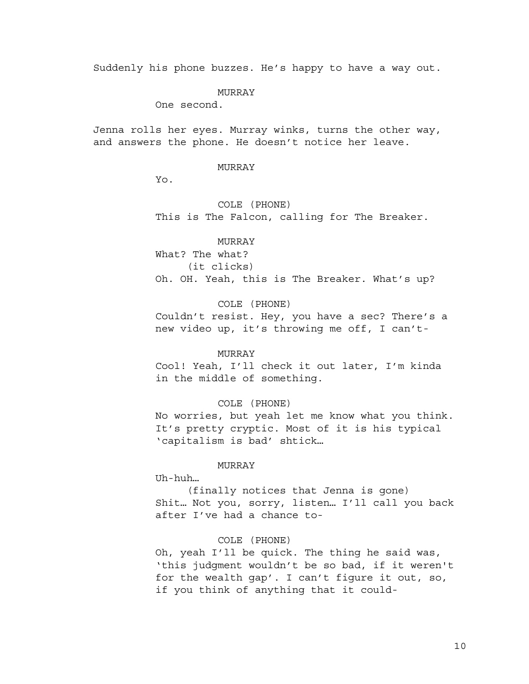Suddenly his phone buzzes. He's happy to have a way out.

### MURRAY

One second.

Jenna rolls her eyes. Murray winks, turns the other way, and answers the phone. He doesn't notice her leave.

### MURRAY

Yo.

COLE (PHONE) This is The Falcon, calling for The Breaker.

# MURRAY What? The what? (it clicks) Oh. OH. Yeah, this is The Breaker. What's up?

## COLE (PHONE)

Couldn't resist. Hey, you have a sec? There's a new video up, it's throwing me off, I can't-

### MURRAY

Cool! Yeah, I'll check it out later, I'm kinda in the middle of something.

### COLE (PHONE)

No worries, but yeah let me know what you think. It's pretty cryptic. Most of it is his typical 'capitalism is bad' shtick…

### MURRAY

Uh-huh…

(finally notices that Jenna is gone) Shit… Not you, sorry, listen… I'll call you back after I've had a chance to-

### COLE (PHONE)

Oh, yeah I'll be quick. The thing he said was, 'this judgment wouldn't be so bad, if it weren't for the wealth gap'. I can't figure it out, so, if you think of anything that it could-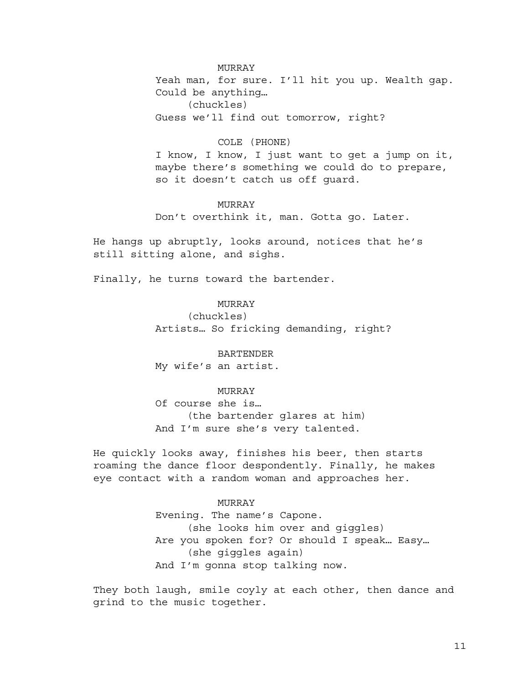MURRAY Yeah man, for sure. I'll hit you up. Wealth gap. Could be anything… (chuckles) Guess we'll find out tomorrow, right?

## COLE (PHONE)

I know, I know, I just want to get a jump on it, maybe there's something we could do to prepare, so it doesn't catch us off guard.

## MURRAY

Don't overthink it, man. Gotta go. Later.

He hangs up abruptly, looks around, notices that he's still sitting alone, and sighs.

Finally, he turns toward the bartender.

## MURRAY

(chuckles) Artists… So fricking demanding, right?

BARTENDER My wife's an artist.

## MURRAY

Of course she is… (the bartender glares at him) And I'm sure she's very talented.

He quickly looks away, finishes his beer, then starts roaming the dance floor despondently. Finally, he makes eye contact with a random woman and approaches her.

### MURRAY

Evening. The name's Capone. (she looks him over and giggles) Are you spoken for? Or should I speak… Easy… (she giggles again) And I'm gonna stop talking now.

They both laugh, smile coyly at each other, then dance and grind to the music together.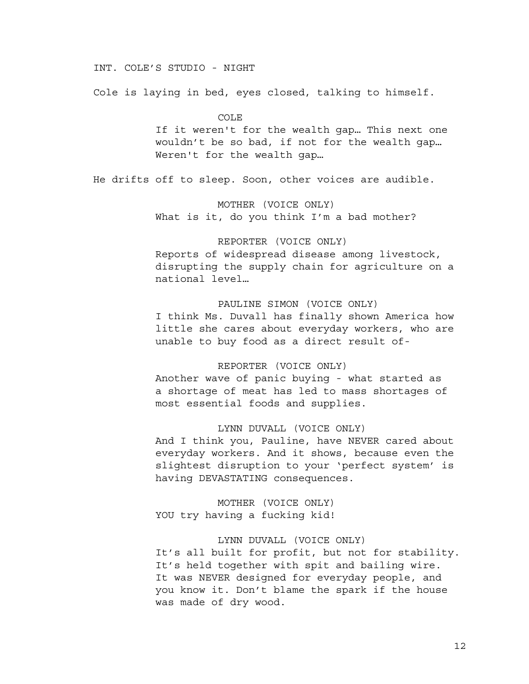## INT. COLE'S STUDIO - NIGHT

Cole is laying in bed, eyes closed, talking to himself.

COLE

If it weren't for the wealth gap… This next one wouldn't be so bad, if not for the wealth gap… Weren't for the wealth gap…

He drifts off to sleep. Soon, other voices are audible.

## MOTHER (VOICE ONLY)

What is it, do you think I'm a bad mother?

## REPORTER (VOICE ONLY)

Reports of widespread disease among livestock, disrupting the supply chain for agriculture on a national level…

## PAULINE SIMON (VOICE ONLY)

I think Ms. Duvall has finally shown America how little she cares about everyday workers, who are unable to buy food as a direct result of-

## REPORTER (VOICE ONLY)

Another wave of panic buying - what started as a shortage of meat has led to mass shortages of most essential foods and supplies.

## LYNN DUVALL (VOICE ONLY)

And I think you, Pauline, have NEVER cared about everyday workers. And it shows, because even the slightest disruption to your 'perfect system' is having DEVASTATING consequences.

MOTHER (VOICE ONLY) YOU try having a fucking kid!

### LYNN DUVALL (VOICE ONLY)

It's all built for profit, but not for stability. It's held together with spit and bailing wire. It was NEVER designed for everyday people, and you know it. Don't blame the spark if the house was made of dry wood.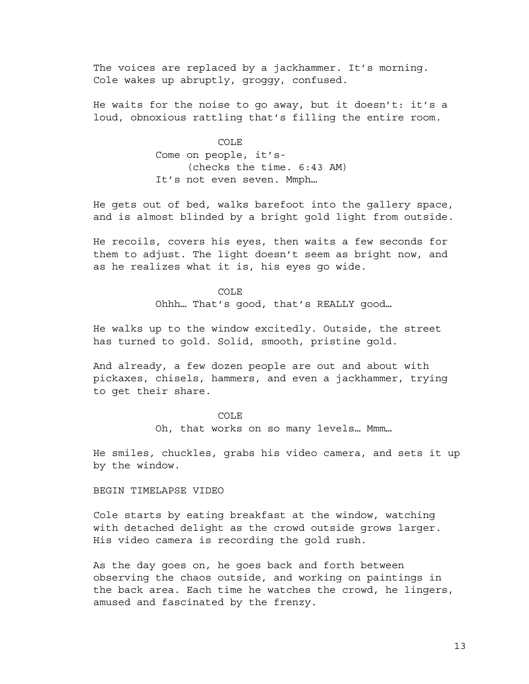The voices are replaced by a jackhammer. It's morning. Cole wakes up abruptly, groggy, confused.

He waits for the noise to go away, but it doesn't: it's a loud, obnoxious rattling that's filling the entire room.

COLE

Come on people, it's- (checks the time. 6:43 AM) It's not even seven. Mmph…

He gets out of bed, walks barefoot into the gallery space, and is almost blinded by a bright gold light from outside.

He recoils, covers his eyes, then waits a few seconds for them to adjust. The light doesn't seem as bright now, and as he realizes what it is, his eyes go wide.

### COLE

Ohhh… That's good, that's REALLY good…

He walks up to the window excitedly. Outside, the street has turned to gold. Solid, smooth, pristine gold.

And already, a few dozen people are out and about with pickaxes, chisels, hammers, and even a jackhammer, trying to get their share.

> COLE Oh, that works on so many levels… Mmm…

He smiles, chuckles, grabs his video camera, and sets it up by the window.

BEGIN TIMELAPSE VIDEO

Cole starts by eating breakfast at the window, watching with detached delight as the crowd outside grows larger. His video camera is recording the gold rush.

As the day goes on, he goes back and forth between observing the chaos outside, and working on paintings in the back area. Each time he watches the crowd, he lingers, amused and fascinated by the frenzy.